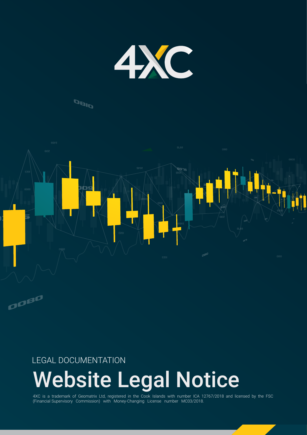

## **DBID**



### LEGAL DOCUMENTATION

# Website Legal Notice

4XC is a trademark of Geomatrix Ltd, registered in the Cook Islands with number ICA 12767/2018 and licensed by the FSC (Financial Supervisory Commission) with Money-Changing License number MC03/2018.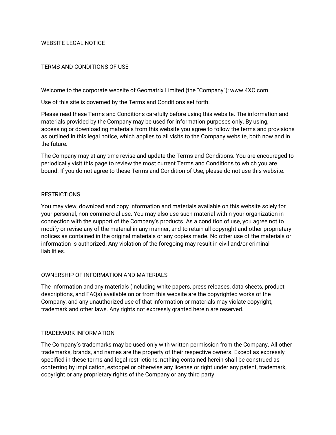#### WEBSITE LEGAL NOTICE

#### TERMS AND CONDITIONS OF USE

Welcome to the corporate website of Geomatrix Limited (the "Company"); www.4XC.com.

Use of this site is governed by the Terms and Conditions set forth.

Please read these Terms and Conditions carefully before using this website. The information and materials provided by the Company may be used for information purposes only. By using, accessing or downloading materials from this website you agree to follow the terms and provisions as outlined in this legal notice, which applies to all visits to the Company website, both now and in the future.

The Company may at any time revise and update the Terms and Conditions. You are encouraged to periodically visit this page to review the most current Terms and Conditions to which you are bound. If you do not agree to these Terms and Condition of Use, please do not use this website.

#### **RESTRICTIONS**

You may view, download and copy information and materials available on this website solely for your personal, non-commercial use. You may also use such material within your organization in connection with the support of the Company's products. As a condition of use, you agree not to modify or revise any of the material in any manner, and to retain all copyright and other proprietary notices as contained in the original materials or any copies made. No other use of the materials or information is authorized. Any violation of the foregoing may result in civil and/or criminal liabilities.

#### OWNERSHIP OF INFORMATION AND MATERIALS

The information and any materials (including white papers, press releases, data sheets, product descriptions, and FAQs) available on or from this website are the copyrighted works of the Company, and any unauthorized use of that information or materials may violate copyright, trademark and other laws. Any rights not expressly granted herein are reserved.

#### TRADEMARK INFORMATION

The Company's trademarks may be used only with written permission from the Company. All other trademarks, brands, and names are the property of their respective owners. Except as expressly specified in these terms and legal restrictions, nothing contained herein shall be construed as conferring by implication, estoppel or otherwise any license or right under any patent, trademark, copyright or any proprietary rights of the Company or any third party.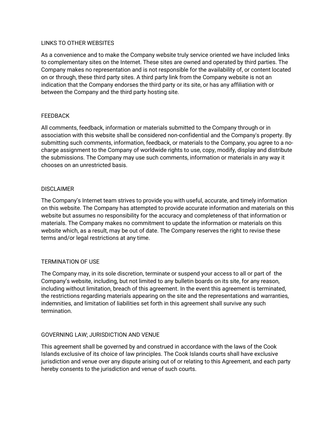#### LINKS TO OTHER WEBSITES

As a convenience and to make the Company website truly service oriented we have included links to complementary sites on the Internet. These sites are owned and operated by third parties. The Company makes no representation and is not responsible for the availability of, or content located on or through, these third party sites. A third party link from the Company website is not an indication that the Company endorses the third party or its site, or has any affiliation with or between the Company and the third party hosting site.

#### FEEDBACK

All comments, feedback, information or materials submitted to the Company through or in association with this website shall be considered non-confidential and the Company's property. By submitting such comments, information, feedback, or materials to the Company, you agree to a nocharge assignment to the Company of worldwide rights to use, copy, modify, display and distribute the submissions. The Company may use such comments, information or materials in any way it chooses on an unrestricted basis.

#### DISCLAIMER

The Company's Internet team strives to provide you with useful, accurate, and timely information on this website. The Company has attempted to provide accurate information and materials on this website but assumes no responsibility for the accuracy and completeness of that information or materials. The Company makes no commitment to update the information or materials on this website which, as a result, may be out of date. The Company reserves the right to revise these terms and/or legal restrictions at any time.

#### TERMINATION OF USE

The Company may, in its sole discretion, terminate or suspend your access to all or part of the Company's website, including, but not limited to any bulletin boards on its site, for any reason, including without limitation, breach of this agreement. In the event this agreement is terminated, the restrictions regarding materials appearing on the site and the representations and warranties, indemnities, and limitation of liabilities set forth in this agreement shall survive any such termination.

#### GOVERNING LAW; JURISDICTION AND VENUE

This agreement shall be governed by and construed in accordance with the laws of the Cook Islands exclusive of its choice of law principles. The Cook Islands courts shall have exclusive jurisdiction and venue over any dispute arising out of or relating to this Agreement, and each party hereby consents to the jurisdiction and venue of such courts.